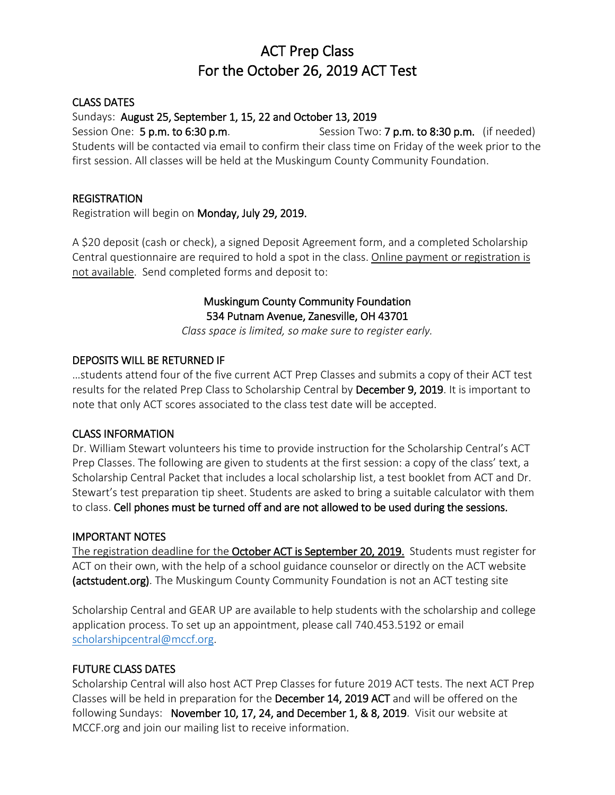## ACT Prep Class For the October 26, 2019 ACT Test

### CLASS DATES

## Sundays: August 25, September 1, 15, 22 and October 13, 2019

Session One: 5 p.m. to 6:30 p.m. Session Two: 7 p.m. to 8:30 p.m. (if needed) Students will be contacted via email to confirm their class time on Friday of the week prior to the first session. All classes will be held at the Muskingum County Community Foundation.

### **REGISTRATION**

Registration will begin on Monday, July 29, 2019.

A \$20 deposit (cash or check), a signed Deposit Agreement form, and a completed Scholarship Central questionnaire are required to hold a spot in the class. Online payment or registration is not available. Send completed forms and deposit to:

## Muskingum County Community Foundation 534 Putnam Avenue, Zanesville, OH 43701

*Class space is limited, so make sure to register early.*

#### DEPOSITS WILL BE RETURNED IF

…students attend four of the five current ACT Prep Classes and submits a copy of their ACT test results for the related Prep Class to Scholarship Central by December 9, 2019. It is important to note that only ACT scores associated to the class test date will be accepted.

#### CLASS INFORMATION

Dr. William Stewart volunteers his time to provide instruction for the Scholarship Central's ACT Prep Classes. The following are given to students at the first session: a copy of the class' text, a Scholarship Central Packet that includes a local scholarship list, a test booklet from ACT and Dr. Stewart's test preparation tip sheet. Students are asked to bring a suitable calculator with them to class. Cell phones must be turned off and are not allowed to be used during the sessions.

## IMPORTANT NOTES

The registration deadline for the October ACT is September 20, 2019. Students must register for ACT on their own, with the help of a school guidance counselor or directly on the ACT website (actstudent.org). The Muskingum County Community Foundation is not an ACT testing site

Scholarship Central and GEAR UP are available to help students with the scholarship and college application process. To set up an appointment, please call 740.453.5192 or email [scholarshipcentral@mccf.org.](mailto:scholarshipcentral@mccf.org)

## FUTURE CLASS DATES

Scholarship Central will also host ACT Prep Classes for future 2019 ACT tests. The next ACT Prep Classes will be held in preparation for the December 14, 2019 ACT and will be offered on the following Sundays: November 10, 17, 24, and December 1, & 8, 2019. Visit our website at MCCF.org and join our mailing list to receive information.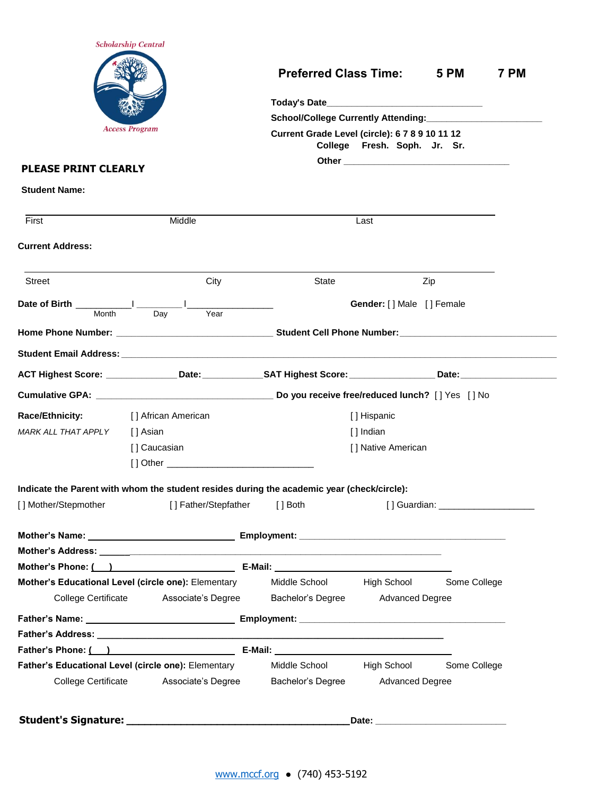|                             | <b>Scholarship Central</b>                                                                                                                                                                   |                                                                                |                           |                                      |      |  |
|-----------------------------|----------------------------------------------------------------------------------------------------------------------------------------------------------------------------------------------|--------------------------------------------------------------------------------|---------------------------|--------------------------------------|------|--|
|                             |                                                                                                                                                                                              | <b>Preferred Class Time: 5 PM</b>                                              |                           |                                      | 7 PM |  |
|                             |                                                                                                                                                                                              |                                                                                |                           |                                      |      |  |
|                             |                                                                                                                                                                                              | School/College Currently Attending: __________________                         |                           |                                      |      |  |
|                             | <b>Access Program</b>                                                                                                                                                                        | Current Grade Level (circle): 6 7 8 9 10 11 12<br>College Fresh. Soph. Jr. Sr. |                           |                                      |      |  |
| <b>PLEASE PRINT CLEARLY</b> |                                                                                                                                                                                              |                                                                                |                           |                                      |      |  |
| <b>Student Name:</b>        |                                                                                                                                                                                              |                                                                                |                           |                                      |      |  |
| First                       | Middle                                                                                                                                                                                       |                                                                                | Last                      |                                      |      |  |
| <b>Current Address:</b>     |                                                                                                                                                                                              |                                                                                |                           |                                      |      |  |
| Street                      | City                                                                                                                                                                                         | <b>State</b>                                                                   |                           | Zip                                  |      |  |
| Month                       | Year<br>Day                                                                                                                                                                                  |                                                                                | Gender: [] Male [] Female |                                      |      |  |
|                             |                                                                                                                                                                                              |                                                                                |                           |                                      |      |  |
|                             |                                                                                                                                                                                              |                                                                                |                           |                                      |      |  |
|                             | ACT Highest Score: _________________Date: ______________SAT Highest Score: ________________Date: _____________                                                                               |                                                                                |                           |                                      |      |  |
|                             |                                                                                                                                                                                              |                                                                                |                           |                                      |      |  |
| <b>Race/Ethnicity:</b>      | [] African American                                                                                                                                                                          | [] Hispanic                                                                    |                           |                                      |      |  |
| MARK ALL THAT APPLY         | [ ] Asian                                                                                                                                                                                    |                                                                                | [] Indian                 |                                      |      |  |
|                             | [] Caucasian                                                                                                                                                                                 |                                                                                | [] Native American        |                                      |      |  |
|                             |                                                                                                                                                                                              |                                                                                |                           |                                      |      |  |
|                             | [] Other ___________________________________                                                                                                                                                 |                                                                                |                           |                                      |      |  |
|                             |                                                                                                                                                                                              |                                                                                |                           |                                      |      |  |
|                             | Indicate the Parent with whom the student resides during the academic year (check/circle):                                                                                                   |                                                                                |                           |                                      |      |  |
|                             | [] Father/Stepfather                                                                                                                                                                         | $[ ]$ Both                                                                     |                           | [] Guardian: _______________________ |      |  |
|                             |                                                                                                                                                                                              |                                                                                |                           |                                      |      |  |
| [] Mother/Stepmother        |                                                                                                                                                                                              |                                                                                |                           |                                      |      |  |
|                             | Mother's Phone: ( ) <b>E-Mail: E-Mail: E-Mail: E-Mail: E-Mail: E-Mail: E-Mail: E-Mail: E-Mail: E-Mail: E-Mail: E-Mail: E-Mail: E-Mail: E-Mail: E-Mail: E-Mail: E-Mail: E-Mail: E-Mail: E</b> |                                                                                |                           |                                      |      |  |
|                             | Mother's Educational Level (circle one): Elementary                                                                                                                                          | Middle School High School                                                      |                           | Some College                         |      |  |
| <b>College Certificate</b>  | Associate's Degree                                                                                                                                                                           | Bachelor's Degree                                                              | <b>Advanced Degree</b>    |                                      |      |  |
|                             |                                                                                                                                                                                              |                                                                                |                           |                                      |      |  |
|                             |                                                                                                                                                                                              |                                                                                |                           |                                      |      |  |
|                             |                                                                                                                                                                                              |                                                                                |                           |                                      |      |  |
|                             | Father's Educational Level (circle one): Elementary                                                                                                                                          | Middle School High School                                                      |                           | Some College                         |      |  |
| <b>College Certificate</b>  | Associate's Degree                                                                                                                                                                           | Bachelor's Degree                                                              | <b>Advanced Degree</b>    |                                      |      |  |
|                             |                                                                                                                                                                                              |                                                                                |                           |                                      |      |  |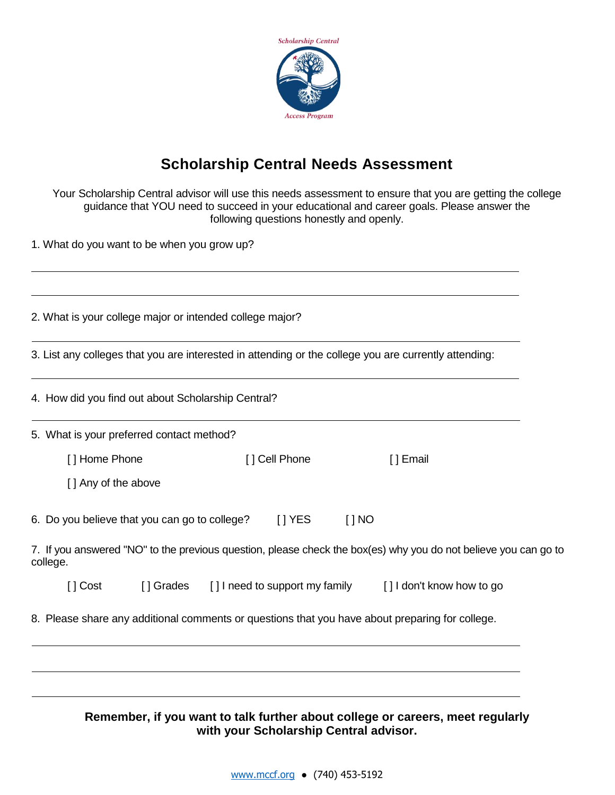

## **Scholarship Central Needs Assessment**

Your Scholarship Central advisor will use this needs assessment to ensure that you are getting the college guidance that YOU need to succeed in your educational and career goals. Please answer the following questions honestly and openly.

1. What do you want to be when you grow up?

| 2. What is your college major or intended college major? |           |               |            |                                                                                                                 |
|----------------------------------------------------------|-----------|---------------|------------|-----------------------------------------------------------------------------------------------------------------|
|                                                          |           |               |            | 3. List any colleges that you are interested in attending or the college you are currently attending:           |
| 4. How did you find out about Scholarship Central?       |           |               |            |                                                                                                                 |
| 5. What is your preferred contact method?                |           |               |            |                                                                                                                 |
| [] Home Phone                                            |           | [] Cell Phone |            | [ ] Email                                                                                                       |
| [] Any of the above                                      |           |               |            |                                                                                                                 |
| 6. Do you believe that you can go to college?            |           | $[$   YES     | $[$ $]$ NO |                                                                                                                 |
| college.                                                 |           |               |            | 7. If you answered "NO" to the previous question, please check the box(es) why you do not believe you can go to |
| [] Cost                                                  | [] Grades |               |            | [] I need to support my family [] I don't know how to go                                                        |
|                                                          |           |               |            | 8. Please share any additional comments or questions that you have about preparing for college.                 |
|                                                          |           |               |            |                                                                                                                 |

#### **Remember, if you want to talk further about college or careers, meet regularly with your Scholarship Central advisor.**